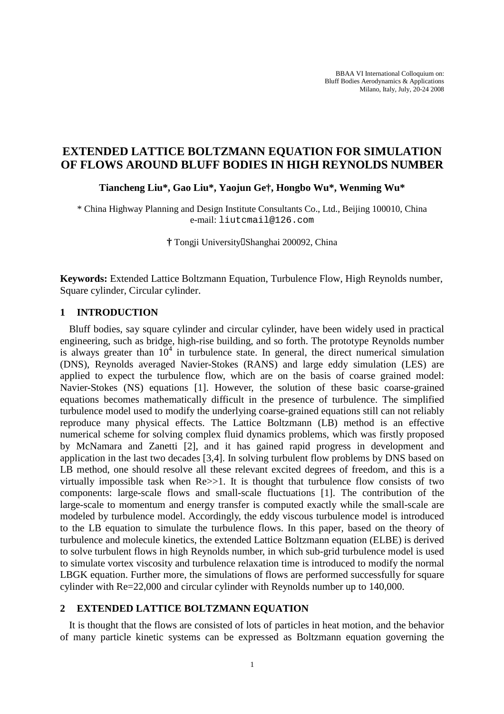# **EXTENDED LATTICE BOLTZMANN EQUATION FOR SIMULATION OF FLOWS AROUND BLUFF BODIES IN HIGH REYNOLDS NUMBER**

**Tiancheng Liu\*, Gao Liu\*, Yaojun Ge†, Hongbo Wu\*, Wenming Wu\*** 

\* China Highway Planning and Design Institute Consultants Co., Ltd., Beijing 100010, China e-mail: liutcmail@126.com

<sup>†</sup> Tongji University Shanghai 200092, China

**Keywords:** Extended Lattice Boltzmann Equation, Turbulence Flow, High Reynolds number, Square cylinder, Circular cylinder.

## **1 INTRODUCTION**

Bluff bodies, say square cylinder and circular cylinder, have been widely used in practical engineering, such as bridge, high-rise building, and so forth. The prototype Reynolds number is always greater than  $10^4$  in turbulence state. In general, the direct numerical simulation (DNS), Reynolds averaged Navier-Stokes (RANS) and large eddy simulation (LES) are applied to expect the turbulence flow, which are on the basis of coarse grained model: Navier-Stokes (NS) equations [1]. However, the solution of these basic coarse-grained equations becomes mathematically difficult in the presence of turbulence. The simplified turbulence model used to modify the underlying coarse-grained equations still can not reliably reproduce many physical effects. The Lattice Boltzmann (LB) method is an effective numerical scheme for solving complex fluid dynamics problems, which was firstly proposed by McNamara and Zanetti [2], and it has gained rapid progress in development and application in the last two decades [3,4]. In solving turbulent flow problems by DNS based on LB method, one should resolve all these relevant excited degrees of freedom, and this is a virtually impossible task when Re>>1. It is thought that turbulence flow consists of two components: large-scale flows and small-scale fluctuations [1]. The contribution of the large-scale to momentum and energy transfer is computed exactly while the small-scale are modeled by turbulence model. Accordingly, the eddy viscous turbulence model is introduced to the LB equation to simulate the turbulence flows. In this paper, based on the theory of turbulence and molecule kinetics, the extended Lattice Boltzmann equation (ELBE) is derived to solve turbulent flows in high Reynolds number, in which sub-grid turbulence model is used to simulate vortex viscosity and turbulence relaxation time is introduced to modify the normal LBGK equation. Further more, the simulations of flows are performed successfully for square cylinder with Re=22,000 and circular cylinder with Reynolds number up to 140,000.

## **2 EXTENDED LATTICE BOLTZMANN EQUATION**

It is thought that the flows are consisted of lots of particles in heat motion, and the behavior of many particle kinetic systems can be expressed as Boltzmann equation governing the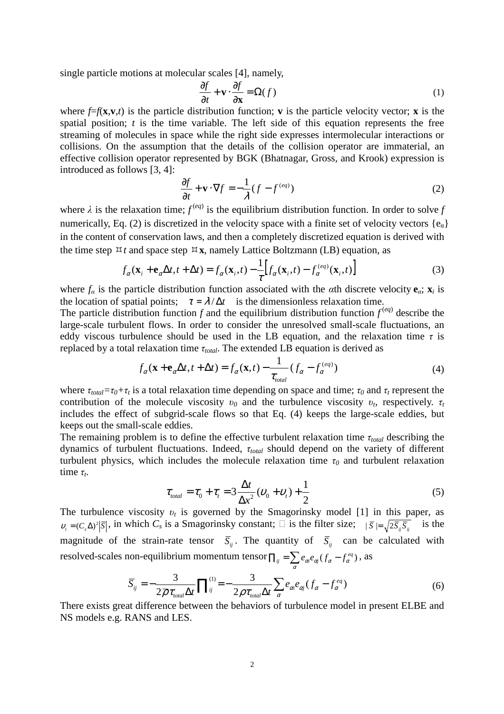single particle motions at molecular scales [4], namely,

$$
\frac{\partial f}{\partial t} + \mathbf{v} \cdot \frac{\partial f}{\partial \mathbf{x}} = \Omega(f) \tag{1}
$$

where  $f=f(\mathbf{x}, \mathbf{v}, t)$  is the particle distribution function; **v** is the particle velocity vector; **x** is the spatial position; *t* is the time variable. The left side of this equation represents the free streaming of molecules in space while the right side expresses intermolecular interactions or collisions. On the assumption that the details of the collision operator are immaterial, an effective collision operator represented by BGK (Bhatnagar, Gross, and Krook) expression is introduced as follows [3, 4]:

$$
\frac{\partial f}{\partial t} + \mathbf{v} \cdot \nabla f = -\frac{1}{\lambda} (f - f^{(eq)})
$$
 (2)

where  $\lambda$  is the relaxation time;  $f^{(eq)}$  is the equilibrium distribution function. In order to solve f numerically, Eq. (2) is discretized in the velocity space with a finite set of velocity vectors  $\{e_{\alpha}\}\$ in the content of conservation laws, and then a completely discretized equation is derived with the time step  $\forall t$  and space step  $\forall x$ , namely Lattice Boltzmann (LB) equation, as

$$
f_{\alpha}(\mathbf{x}_{i} + \mathbf{e}_{\alpha} \Delta t, t + \Delta t) = f_{\alpha}(\mathbf{x}_{i}, t) - \frac{1}{\tau} \Big[ f_{\alpha}(\mathbf{x}_{i}, t) - f_{\alpha}^{(eq)}(\mathbf{x}_{i}, t) \Big]
$$
(3)

where  $f_\alpha$  is the particle distribution function associated with the  $\alpha$ th discrete velocity  $\mathbf{e}_\alpha$ ;  $\mathbf{x}_i$  is the location of spatial points;  $\tau = \lambda / \Delta t$  is the dimensionless relaxation time.

The particle distribution function  $f$  and the equilibrium distribution function  $f^{(eq)}$  describe the large-scale turbulent flows. In order to consider the unresolved small-scale fluctuations, an eddy viscous turbulence should be used in the LB equation, and the relaxation time  $\tau$  is replaced by a total relaxation time  $\tau_{total}$ . The extended LB equation is derived as

$$
f_{\alpha}(\mathbf{x} + \mathbf{e}_{\alpha} \Delta t, t + \Delta t) = f_{\alpha}(\mathbf{x}, t) - \frac{1}{\tau_{\text{total}}} (f_{\alpha} - f_{\alpha}^{(eq)})
$$
(4)

where  $\tau_{total} = \tau_0 + \tau_t$  is a total relaxation time depending on space and time;  $\tau_0$  and  $\tau_t$  represent the contribution of the molecule viscosity  $v_0$  and the turbulence viscosity  $v_t$ , respectively.  $\tau_t$ includes the effect of subgrid-scale flows so that Eq. (4) keeps the large-scale eddies, but keeps out the small-scale eddies.

The remaining problem is to define the effective turbulent relaxation time τ*total* describing the dynamics of turbulent fluctuations. Indeed, τ*total* should depend on the variety of different turbulent physics, which includes the molecule relaxation time  $\tau_0$  and turbulent relaxation time  $\tau_t$ .

$$
\tau_{total} = \tau_0 + \tau_t = 3 \frac{\Delta t}{\Delta x^2} (\nu_0 + \nu_t) + \frac{1}{2}
$$
\n<sup>(5)</sup>

The turbulence viscosity  $v_t$  is governed by the Smagorinsky model [1] in this paper, as  $v_t = (C_s \Delta)^2 |\overline{S}|$ , in which  $C_s$  is a Smagorinsky constant;  $\Box$  is the filter size;  $|\overline{S}| = \sqrt{2\overline{S}_y \overline{S}_y}$  is the magnitude of the strain-rate tensor  $\overline{S}_{ij}$ . The quantity of  $\overline{S}_{ij}$  can be calculated with resolved-scales non-equilibrium momentum tensor  $\prod_{ij} = \sum e_{\alpha i}e_{\alpha j}(f_{\alpha} - f_{\alpha}^{eq})$ , as

$$
\overline{S}_{ij} = -\frac{3}{2\overline{\rho}\tau_{total}\Delta t} \prod_{ij}^{(1)} = -\frac{3}{2\rho\tau_{total}\Delta t} \sum_{\alpha} e_{\alpha i} e_{\alpha j} (f_{\alpha} - f_{\alpha}^{eq})
$$
(6)

α

There exists great difference between the behaviors of turbulence model in present ELBE and NS models e.g. RANS and LES.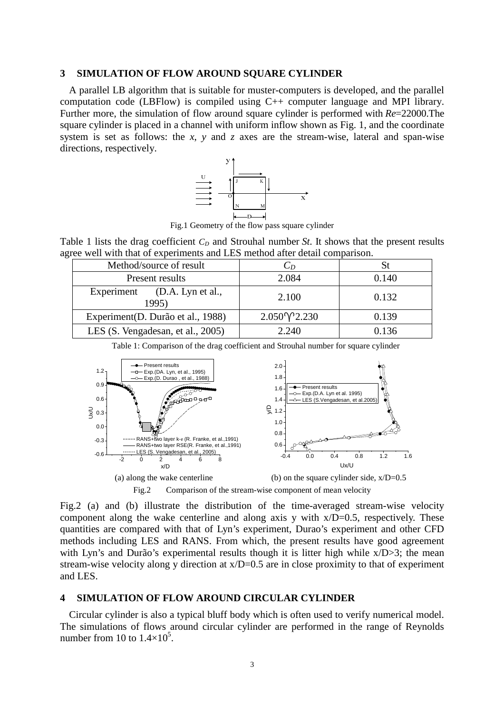#### **3 SIMULATION OF FLOW AROUND SQUARE CYLINDER**

A parallel LB algorithm that is suitable for muster-computers is developed, and the parallel computation code (LBFlow) is compiled using C++ computer language and MPI library. Further more, the simulation of flow around square cylinder is performed with *Re*=22000.The square cylinder is placed in a channel with uniform inflow shown as Fig. 1, and the coordinate system is set as follows: the *x*, *y* and *z* axes are the stream-wise, lateral and span-wise directions, respectively.



Fig.1 Geometry of the flow pass square cylinder

Table 1 lists the drag coefficient  $C<sub>D</sub>$  and Strouhal number *St*. It shows that the present results agree well with that of experiments and LES method after detail comparison.

| Method/source of result               | $C_D$               |       |  |
|---------------------------------------|---------------------|-------|--|
| Present results                       | 2.084               | 0.140 |  |
| Experiment (D.A. Lyn et al.,<br>1995) | 2.100               | 0.132 |  |
| Experiment(D. Durão et al., 1988)     | $2.050\sqrt{2.230}$ | 0.139 |  |
| LES (S. Vengadesan, et al., 2005)     | 2.240               | 0.136 |  |

Table 1: Comparison of the drag coefficient and Strouhal number for square cylinder



Fig.2 (a) and (b) illustrate the distribution of the time-averaged stream-wise velocity component along the wake centerline and along axis y with  $x/D=0.5$ , respectively. These quantities are compared with that of Lyn's experiment, Durao's experiment and other CFD methods including LES and RANS. From which, the present results have good agreement with Lyn's and Durão's experimental results though it is litter high while  $x/D > 3$ ; the mean stream-wise velocity along y direction at  $x/D=0.5$  are in close proximity to that of experiment and LES.

## **4 SIMULATION OF FLOW AROUND CIRCULAR CYLINDER**

Circular cylinder is also a typical bluff body which is often used to verify numerical model. The simulations of flows around circular cylinder are performed in the range of Reynolds number from 10 to  $1.4 \times 10^5$ .